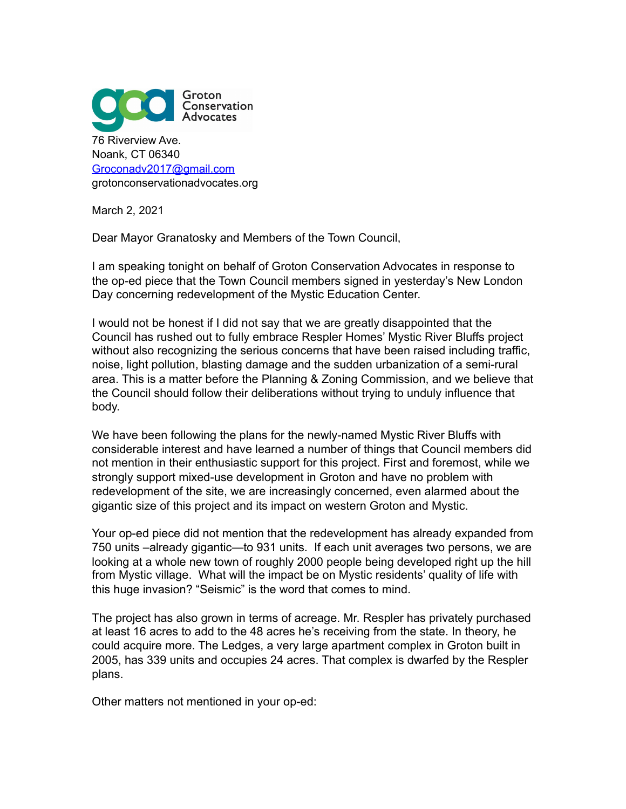

March 2, 2021

Dear Mayor Granatosky and Members of the Town Council,

I am speaking tonight on behalf of Groton Conservation Advocates in response to the op-ed piece that the Town Council members signed in yesterday's New London Day concerning redevelopment of the Mystic Education Center.

I would not be honest if I did not say that we are greatly disappointed that the Council has rushed out to fully embrace Respler Homes' Mystic River Bluffs project without also recognizing the serious concerns that have been raised including traffic, noise, light pollution, blasting damage and the sudden urbanization of a semi-rural area. This is a matter before the Planning & Zoning Commission, and we believe that the Council should follow their deliberations without trying to unduly influence that body.

We have been following the plans for the newly-named Mystic River Bluffs with considerable interest and have learned a number of things that Council members did not mention in their enthusiastic support for this project. First and foremost, while we strongly support mixed-use development in Groton and have no problem with redevelopment of the site, we are increasingly concerned, even alarmed about the gigantic size of this project and its impact on western Groton and Mystic.

Your op-ed piece did not mention that the redevelopment has already expanded from 750 units –already gigantic—to 931 units. If each unit averages two persons, we are looking at a whole new town of roughly 2000 people being developed right up the hill from Mystic village. What will the impact be on Mystic residents' quality of life with this huge invasion? "Seismic" is the word that comes to mind.

The project has also grown in terms of acreage. Mr. Respler has privately purchased at least 16 acres to add to the 48 acres he's receiving from the state. In theory, he could acquire more. The Ledges, a very large apartment complex in Groton built in 2005, has 339 units and occupies 24 acres. That complex is dwarfed by the Respler plans.

Other matters not mentioned in your op-ed: